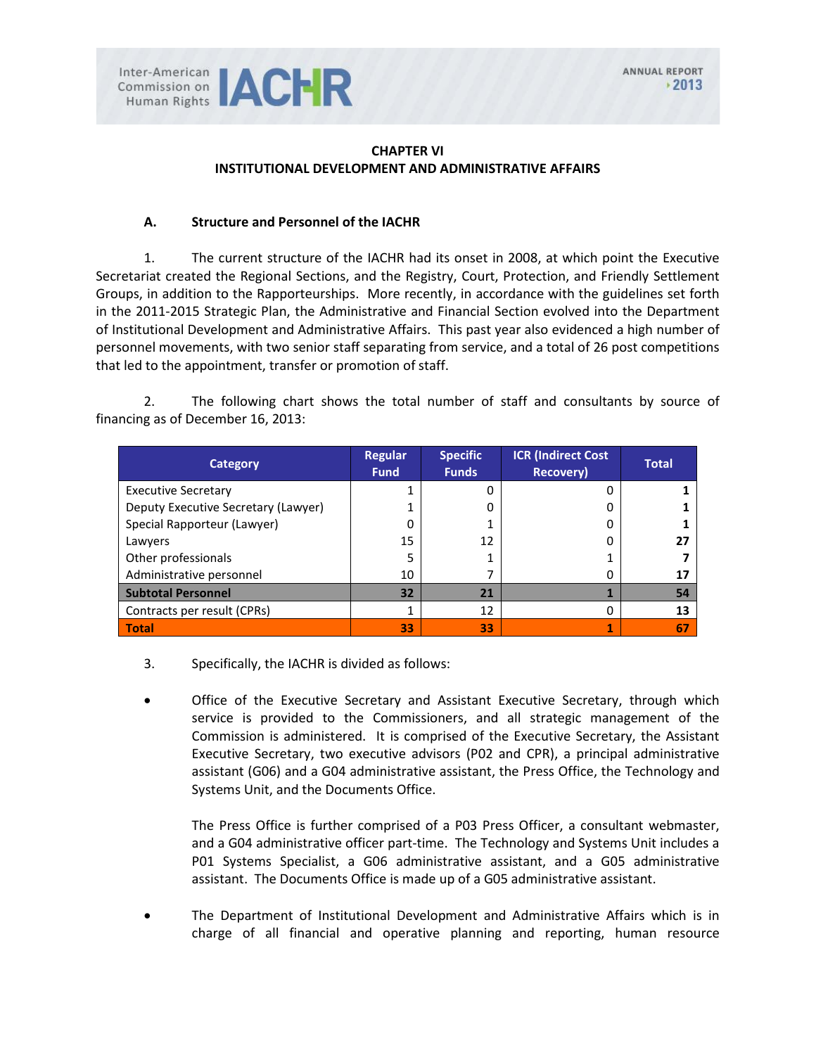### **CHAPTER VI INSTITUTIONAL DEVELOPMENT AND ADMINISTRATIVE AFFAIRS**

#### **A. Structure and Personnel of the IACHR**

1. The current structure of the IACHR had its onset in 2008, at which point the Executive Secretariat created the Regional Sections, and the Registry, Court, Protection, and Friendly Settlement Groups, in addition to the Rapporteurships. More recently, in accordance with the guidelines set forth in the 2011-2015 Strategic Plan, the Administrative and Financial Section evolved into the Department of Institutional Development and Administrative Affairs. This past year also evidenced a high number of personnel movements, with two senior staff separating from service, and a total of 26 post competitions that led to the appointment, transfer or promotion of staff.

2. The following chart shows the total number of staff and consultants by source of financing as of December 16, 2013:

| <b>Category</b>                     | <b>Regular</b><br><b>Fund</b> | <b>Specific</b><br><b>Funds</b> | <b>ICR</b> (Indirect Cost<br><b>Recovery)</b> | <b>Total</b> |
|-------------------------------------|-------------------------------|---------------------------------|-----------------------------------------------|--------------|
| <b>Executive Secretary</b>          |                               | Ω                               |                                               |              |
| Deputy Executive Secretary (Lawyer) |                               | 0                               |                                               |              |
| Special Rapporteur (Lawyer)         |                               |                                 |                                               |              |
| Lawyers                             | 15                            | 12                              |                                               |              |
| Other professionals                 |                               |                                 |                                               |              |
| Administrative personnel            | 10                            |                                 |                                               | 17           |
| <b>Subtotal Personnel</b>           | 32                            | 21                              |                                               | 54           |
| Contracts per result (CPRs)         |                               | 12                              |                                               | 13           |
| <b>Total</b>                        | 33                            | 33                              |                                               | 67           |

- 3. Specifically, the IACHR is divided as follows:
- Office of the Executive Secretary and Assistant Executive Secretary, through which service is provided to the Commissioners, and all strategic management of the Commission is administered. It is comprised of the Executive Secretary, the Assistant Executive Secretary, two executive advisors (P02 and CPR), a principal administrative assistant (G06) and a G04 administrative assistant, the Press Office, the Technology and Systems Unit, and the Documents Office.

The Press Office is further comprised of a P03 Press Officer, a consultant webmaster, and a G04 administrative officer part-time. The Technology and Systems Unit includes a P01 Systems Specialist, a G06 administrative assistant, and a G05 administrative assistant. The Documents Office is made up of a G05 administrative assistant.

• The Department of Institutional Development and Administrative Affairs which is in charge of all financial and operative planning and reporting, human resource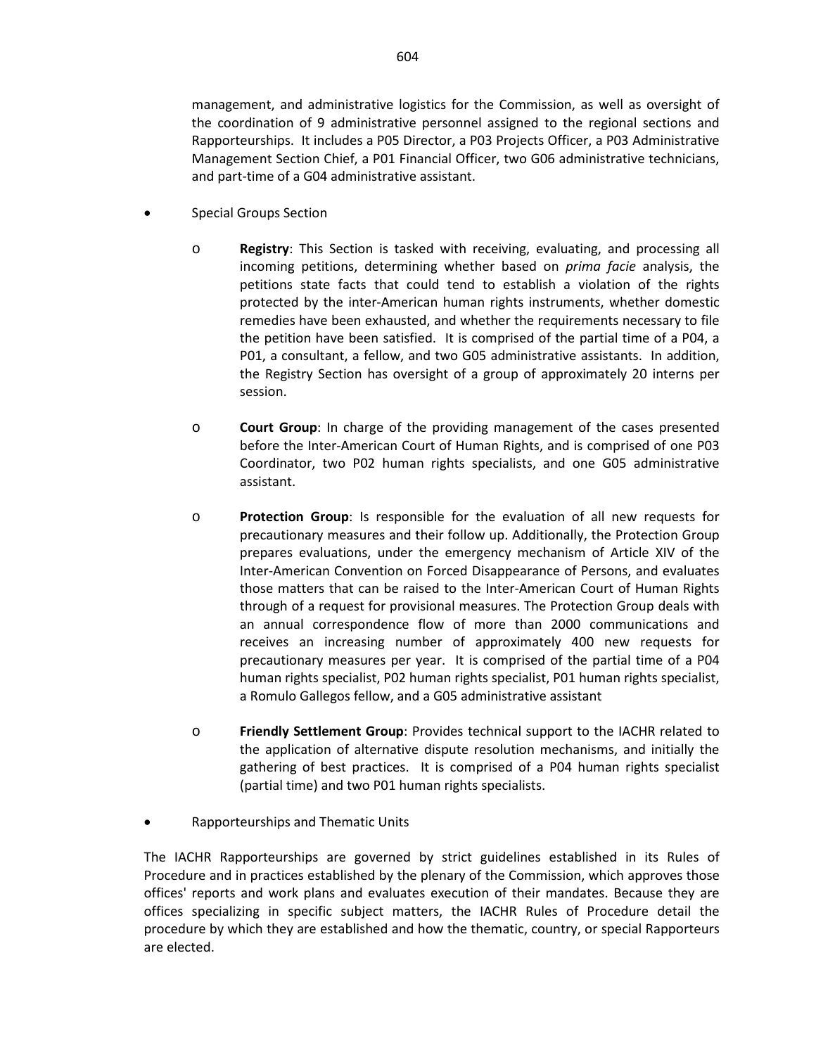management, and administrative logistics for the Commission, as well as oversight of the coordination of 9 administrative personnel assigned to the regional sections and Rapporteurships. It includes a P05 Director, a P03 Projects Officer, a P03 Administrative Management Section Chief, a P01 Financial Officer, two G06 administrative technicians, and part-time of a G04 administrative assistant.

- Special Groups Section
	- o **Registry**: This Section is tasked with receiving, evaluating, and processing all incoming petitions, determining whether based on *prima facie* analysis, the petitions state facts that could tend to establish a violation of the rights protected by the inter-American human rights instruments, whether domestic remedies have been exhausted, and whether the requirements necessary to file the petition have been satisfied. It is comprised of the partial time of a P04, a P01, a consultant, a fellow, and two G05 administrative assistants. In addition, the Registry Section has oversight of a group of approximately 20 interns per session.
	- o **Court Group**: In charge of the providing management of the cases presented before the Inter-American Court of Human Rights, and is comprised of one P03 Coordinator, two P02 human rights specialists, and one G05 administrative assistant.
	- o **Protection Group**: Is responsible for the evaluation of all new requests for precautionary measures and their follow up. Additionally, the Protection Group prepares evaluations, under the emergency mechanism of Article XIV of the Inter-American Convention on Forced Disappearance of Persons, and evaluates those matters that can be raised to the Inter-American Court of Human Rights through of a request for provisional measures. The Protection Group deals with an annual correspondence flow of more than 2000 communications and receives an increasing number of approximately 400 new requests for precautionary measures per year. It is comprised of the partial time of a P04 human rights specialist, P02 human rights specialist, P01 human rights specialist, a Romulo Gallegos fellow, and a G05 administrative assistant
	- o **Friendly Settlement Group**: Provides technical support to the IACHR related to the application of alternative dispute resolution mechanisms, and initially the gathering of best practices. It is comprised of a P04 human rights specialist (partial time) and two P01 human rights specialists.
- Rapporteurships and Thematic Units

The IACHR Rapporteurships are governed by strict guidelines established in its Rules of Procedure and in practices established by the plenary of the Commission, which approves those offices' reports and work plans and evaluates execution of their mandates. Because they are offices specializing in specific subject matters, the IACHR Rules of Procedure detail the procedure by which they are established and how the thematic, country, or special Rapporteurs are elected.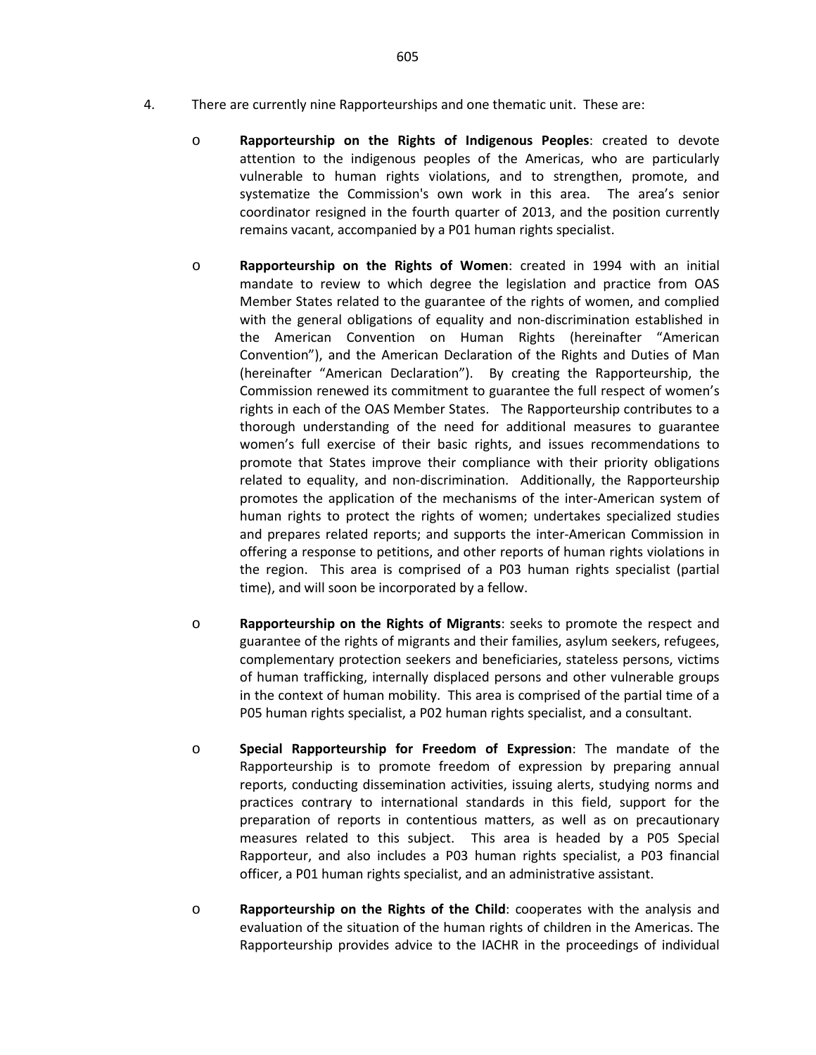605

- 4. There are currently nine Rapporteurships and one thematic unit. These are:
	- o **Rapporteurship on the Rights of Indigenous Peoples**: created to devote attention to the indigenous peoples of the Americas, who are particularly vulnerable to human rights violations, and to strengthen, promote, and systematize the Commission's own work in this area. The area's senior coordinator resigned in the fourth quarter of 2013, and the position currently remains vacant, accompanied by a P01 human rights specialist.
	- o **Rapporteurship on the Rights of Women**: created in 1994 with an initial mandate to review to which degree the legislation and practice from OAS Member States related to the guarantee of the rights of women, and complied with the general obligations of equality and non-discrimination established in the American Convention on Human Rights (hereinafter "American Convention"), and the American Declaration of the Rights and Duties of Man (hereinafter "American Declaration"). By creating the Rapporteurship, the Commission renewed its commitment to guarantee the full respect of women's rights in each of the OAS Member States. The Rapporteurship contributes to a thorough understanding of the need for additional measures to guarantee women's full exercise of their basic rights, and issues recommendations to promote that States improve their compliance with their priority obligations related to equality, and non-discrimination. Additionally, the Rapporteurship promotes the application of the mechanisms of the inter-American system of human rights to protect the rights of women; undertakes specialized studies and prepares related reports; and supports the inter-American Commission in offering a response to petitions, and other reports of human rights violations in the region. This area is comprised of a P03 human rights specialist (partial time), and will soon be incorporated by a fellow.
	- o **Rapporteurship on the Rights of Migrants**: seeks to promote the respect and guarantee of the rights of migrants and their families, asylum seekers, refugees, complementary protection seekers and beneficiaries, stateless persons, victims of human trafficking, internally displaced persons and other vulnerable groups in the context of human mobility. This area is comprised of the partial time of a P05 human rights specialist, a P02 human rights specialist, and a consultant.
	- o **Special Rapporteurship for Freedom of Expression**: The mandate of the Rapporteurship is to promote freedom of expression by preparing annual reports, conducting dissemination activities, issuing alerts, studying norms and practices contrary to international standards in this field, support for the preparation of reports in contentious matters, as well as on precautionary measures related to this subject. This area is headed by a P05 Special Rapporteur, and also includes a P03 human rights specialist, a P03 financial officer, a P01 human rights specialist, and an administrative assistant.
	- o **Rapporteurship on the Rights of the Child**: cooperates with the analysis and evaluation of the situation of the human rights of children in the Americas. The Rapporteurship provides advice to the IACHR in the proceedings of individual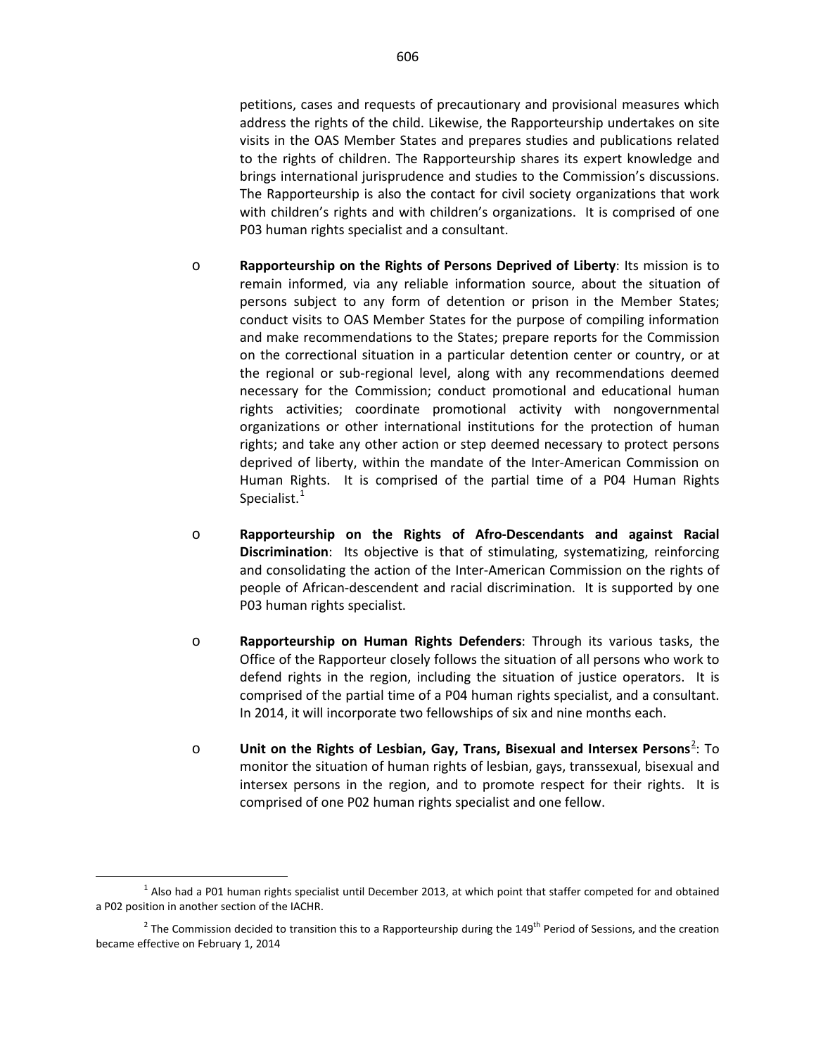petitions, cases and requests of precautionary and provisional measures which address the rights of the child. Likewise, the Rapporteurship undertakes on site visits in the OAS Member States and prepares studies and publications related to the rights of children. The Rapporteurship shares its expert knowledge and brings international jurisprudence and studies to the Commission's discussions. The Rapporteurship is also the contact for civil society organizations that work with children's rights and with children's organizations. It is comprised of one P03 human rights specialist and a consultant.

- o **Rapporteurship on the Rights of Persons Deprived of Liberty**: Its mission is to remain informed, via any reliable information source, about the situation of persons subject to any form of detention or prison in the Member States; conduct visits to OAS Member States for the purpose of compiling information and make recommendations to the States; prepare reports for the Commission on the correctional situation in a particular detention center or country, or at the regional or sub-regional level, along with any recommendations deemed necessary for the Commission; conduct promotional and educational human rights activities; coordinate promotional activity with nongovernmental organizations or other international institutions for the protection of human rights; and take any other action or step deemed necessary to protect persons deprived of liberty, within the mandate of the Inter-American Commission on Human Rights. It is comprised of the partial time of a P04 Human Rights Specialist.<sup>[1](#page-3-0)</sup>
- o **Rapporteurship on the Rights of Afro-Descendants and against Racial Discrimination**: Its objective is that of stimulating, systematizing, reinforcing and consolidating the action of the Inter-American Commission on the rights of people of African-descendent and racial discrimination. It is supported by one P03 human rights specialist.
- o **Rapporteurship on Human Rights Defenders**: Through its various tasks, the Office of the Rapporteur closely follows the situation of all persons who work to defend rights in the region, including the situation of justice operators. It is comprised of the partial time of a P04 human rights specialist, and a consultant. In 2014, it will incorporate two fellowships of six and nine months each.
- o **Unit on the Rights of Lesbian, Gay, Trans, Bisexual and Intersex Persons<sup>[2](#page-3-1)</sup>: To** monitor the situation of human rights of lesbian, gays, transsexual, bisexual and intersex persons in the region, and to promote respect for their rights. It is comprised of one P02 human rights specialist and one fellow.

<span id="page-3-0"></span> $1$  Also had a P01 human rights specialist until December 2013, at which point that staffer competed for and obtained a P02 position in another section of the IACHR.

<span id="page-3-1"></span><sup>&</sup>lt;sup>2</sup> The Commission decided to transition this to a Rapporteurship during the 149<sup>th</sup> Period of Sessions, and the creation became effective on February 1, 2014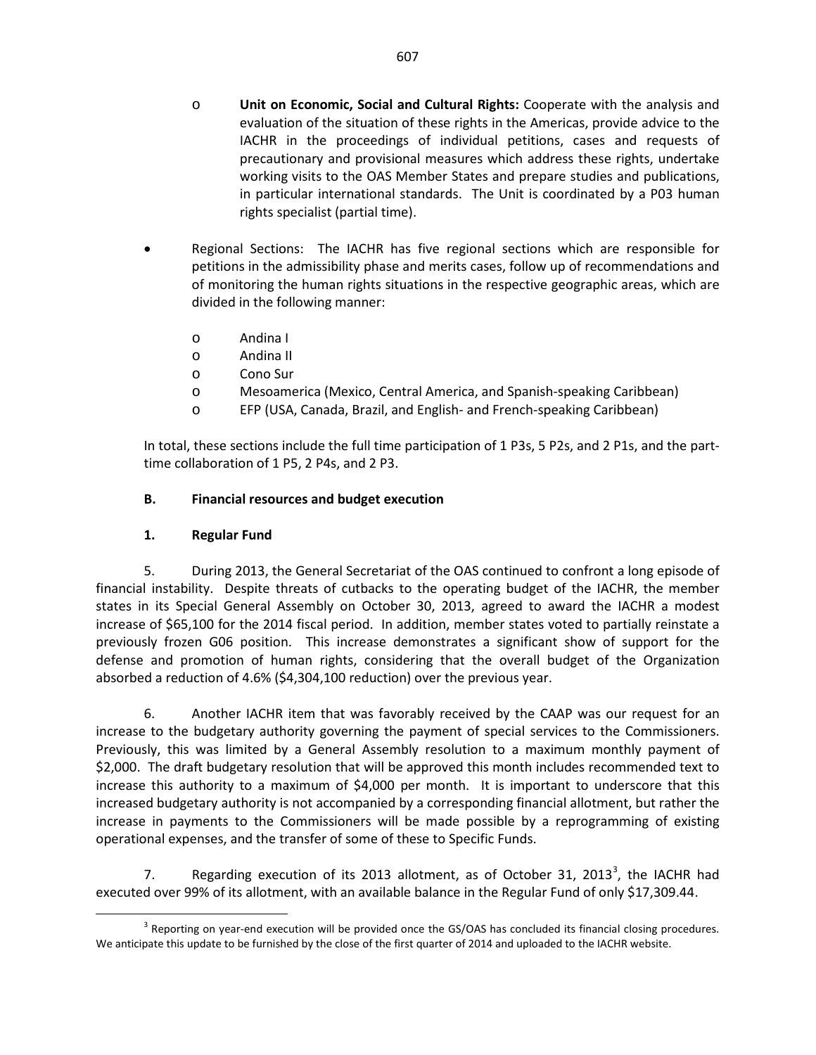- o **Unit on Economic, Social and Cultural Rights:** Cooperate with the analysis and evaluation of the situation of these rights in the Americas, provide advice to the IACHR in the proceedings of individual petitions, cases and requests of precautionary and provisional measures which address these rights, undertake working visits to the OAS Member States and prepare studies and publications, in particular international standards. The Unit is coordinated by a P03 human rights specialist (partial time).
- Regional Sections: The IACHR has five regional sections which are responsible for petitions in the admissibility phase and merits cases, follow up of recommendations and of monitoring the human rights situations in the respective geographic areas, which are divided in the following manner:
	- o Andina I
	- o Andina II
	- o Cono Sur
	- o Mesoamerica (Mexico, Central America, and Spanish-speaking Caribbean)
	- o EFP (USA, Canada, Brazil, and English- and French-speaking Caribbean)

In total, these sections include the full time participation of 1 P3s, 5 P2s, and 2 P1s, and the parttime collaboration of 1 P5, 2 P4s, and 2 P3.

#### **B. Financial resources and budget execution**

#### **1. Regular Fund**

5. During 2013, the General Secretariat of the OAS continued to confront a long episode of financial instability. Despite threats of cutbacks to the operating budget of the IACHR, the member states in its Special General Assembly on October 30, 2013, agreed to award the IACHR a modest increase of \$65,100 for the 2014 fiscal period. In addition, member states voted to partially reinstate a previously frozen G06 position. This increase demonstrates a significant show of support for the defense and promotion of human rights, considering that the overall budget of the Organization absorbed a reduction of 4.6% (\$4,304,100 reduction) over the previous year.

6. Another IACHR item that was favorably received by the CAAP was our request for an increase to the budgetary authority governing the payment of special services to the Commissioners. Previously, this was limited by a General Assembly resolution to a maximum monthly payment of \$2,000. The draft budgetary resolution that will be approved this month includes recommended text to increase this authority to a maximum of \$4,000 per month. It is important to underscore that this increased budgetary authority is not accompanied by a corresponding financial allotment, but rather the increase in payments to the Commissioners will be made possible by a reprogramming of existing operational expenses, and the transfer of some of these to Specific Funds.

7. Regarding execution of its 201[3](#page-4-0) allotment, as of October 31, 2013<sup>3</sup>, the IACHR had executed over 99% of its allotment, with an available balance in the Regular Fund of only \$17,309.44.

<span id="page-4-0"></span><sup>&</sup>lt;sup>3</sup> Reporting on year-end execution will be provided once the GS/OAS has concluded its financial closing procedures. We anticipate this update to be furnished by the close of the first quarter of 2014 and uploaded to the IACHR website.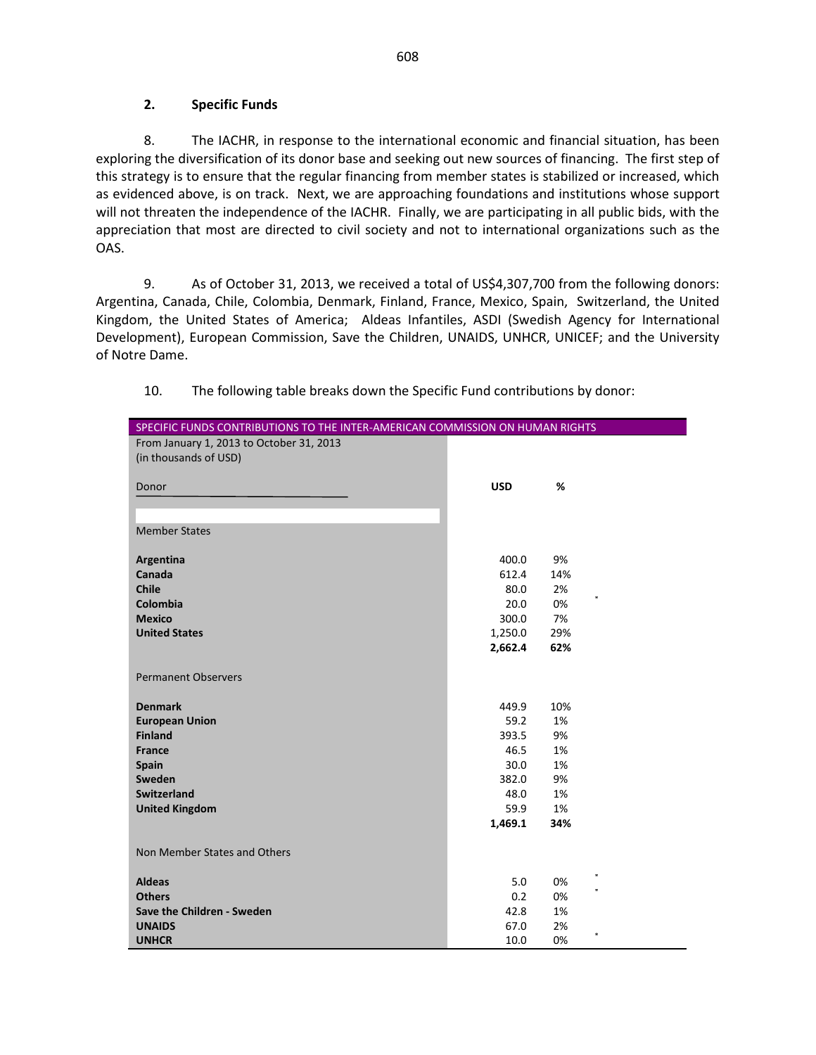#### **2. Specific Funds**

8. The IACHR, in response to the international economic and financial situation, has been exploring the diversification of its donor base and seeking out new sources of financing. The first step of this strategy is to ensure that the regular financing from member states is stabilized or increased, which as evidenced above, is on track. Next, we are approaching foundations and institutions whose support will not threaten the independence of the IACHR. Finally, we are participating in all public bids, with the appreciation that most are directed to civil society and not to international organizations such as the OAS.

9. As of October 31, 2013, we received a total of US\$4,307,700 from the following donors: Argentina, Canada, Chile, Colombia, Denmark, Finland, France, Mexico, Spain, Switzerland, the United Kingdom, the United States of America; Aldeas Infantiles, ASDI (Swedish Agency for International Development), European Commission, Save the Children, UNAIDS, UNHCR, UNICEF; and the University of Notre Dame.

| SPECIFIC FUNDS CONTRIBUTIONS TO THE INTER-AMERICAN COMMISSION ON HUMAN RIGHTS |            |     |  |  |  |
|-------------------------------------------------------------------------------|------------|-----|--|--|--|
| From January 1, 2013 to October 31, 2013                                      |            |     |  |  |  |
| (in thousands of USD)                                                         |            |     |  |  |  |
|                                                                               |            |     |  |  |  |
| Donor                                                                         | <b>USD</b> | %   |  |  |  |
|                                                                               |            |     |  |  |  |
|                                                                               |            |     |  |  |  |
| <b>Member States</b>                                                          |            |     |  |  |  |
|                                                                               |            |     |  |  |  |
| Argentina                                                                     | 400.0      | 9%  |  |  |  |
| Canada                                                                        | 612.4      | 14% |  |  |  |
| <b>Chile</b>                                                                  | 80.0       | 2%  |  |  |  |
| Colombia                                                                      | 20.0       | 0%  |  |  |  |
| <b>Mexico</b>                                                                 | 300.0      | 7%  |  |  |  |
| <b>United States</b>                                                          | 1,250.0    | 29% |  |  |  |
|                                                                               | 2,662.4    | 62% |  |  |  |
|                                                                               |            |     |  |  |  |
| <b>Permanent Observers</b>                                                    |            |     |  |  |  |
| <b>Denmark</b>                                                                | 449.9      | 10% |  |  |  |
| <b>European Union</b>                                                         | 59.2       | 1%  |  |  |  |
| <b>Finland</b>                                                                | 393.5      | 9%  |  |  |  |
| <b>France</b>                                                                 | 46.5       | 1%  |  |  |  |
| <b>Spain</b>                                                                  | 30.0       | 1%  |  |  |  |
| Sweden                                                                        | 382.0      | 9%  |  |  |  |
| <b>Switzerland</b>                                                            | 48.0       | 1%  |  |  |  |
| <b>United Kingdom</b>                                                         | 59.9       | 1%  |  |  |  |
|                                                                               | 1,469.1    | 34% |  |  |  |
|                                                                               |            |     |  |  |  |
| Non Member States and Others                                                  |            |     |  |  |  |
|                                                                               |            |     |  |  |  |
| <b>Aldeas</b>                                                                 | 5.0        | 0%  |  |  |  |
| <b>Others</b>                                                                 | 0.2        | 0%  |  |  |  |
| Save the Children - Sweden                                                    | 42.8       | 1%  |  |  |  |
| <b>UNAIDS</b>                                                                 | 67.0       | 2%  |  |  |  |
| <b>UNHCR</b>                                                                  | 10.0       | 0%  |  |  |  |

10. The following table breaks down the Specific Fund contributions by donor: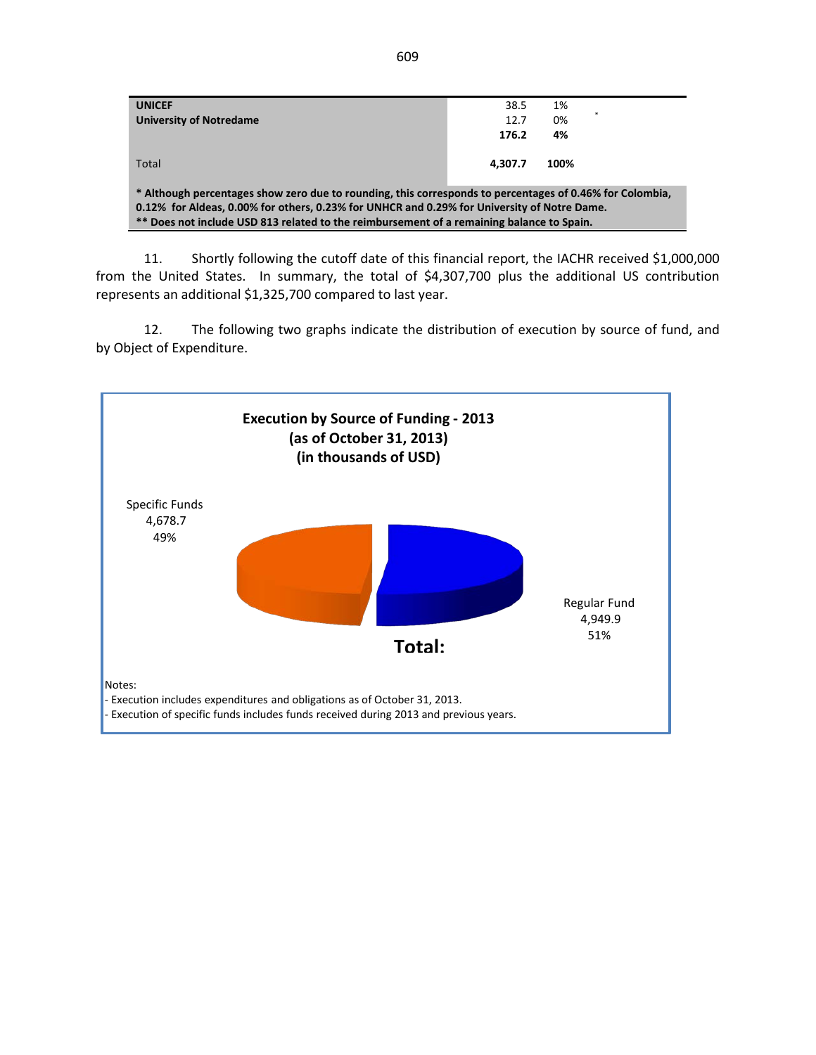| <b>UNICEF</b><br><b>University of Notredame</b>                                                                                                                                                                                                                                                      | 38.5<br>12.7<br>176.2 | 1%<br>0%<br>4% |  |  |  |  |
|------------------------------------------------------------------------------------------------------------------------------------------------------------------------------------------------------------------------------------------------------------------------------------------------------|-----------------------|----------------|--|--|--|--|
| Total                                                                                                                                                                                                                                                                                                | 4.307.7               | 100%           |  |  |  |  |
| * Although percentages show zero due to rounding, this corresponds to percentages of 0.46% for Colombia,<br>0.12% for Aldeas, 0.00% for others, 0.23% for UNHCR and 0.29% for University of Notre Dame.<br>** Does not include USD 813 related to the reimbursement of a remaining balance to Spain. |                       |                |  |  |  |  |

11. Shortly following the cutoff date of this financial report, the IACHR received \$1,000,000 from the United States. In summary, the total of \$4,307,700 plus the additional US contribution represents an additional \$1,325,700 compared to last year.

12. The following two graphs indicate the distribution of execution by source of fund, and by Object of Expenditure.

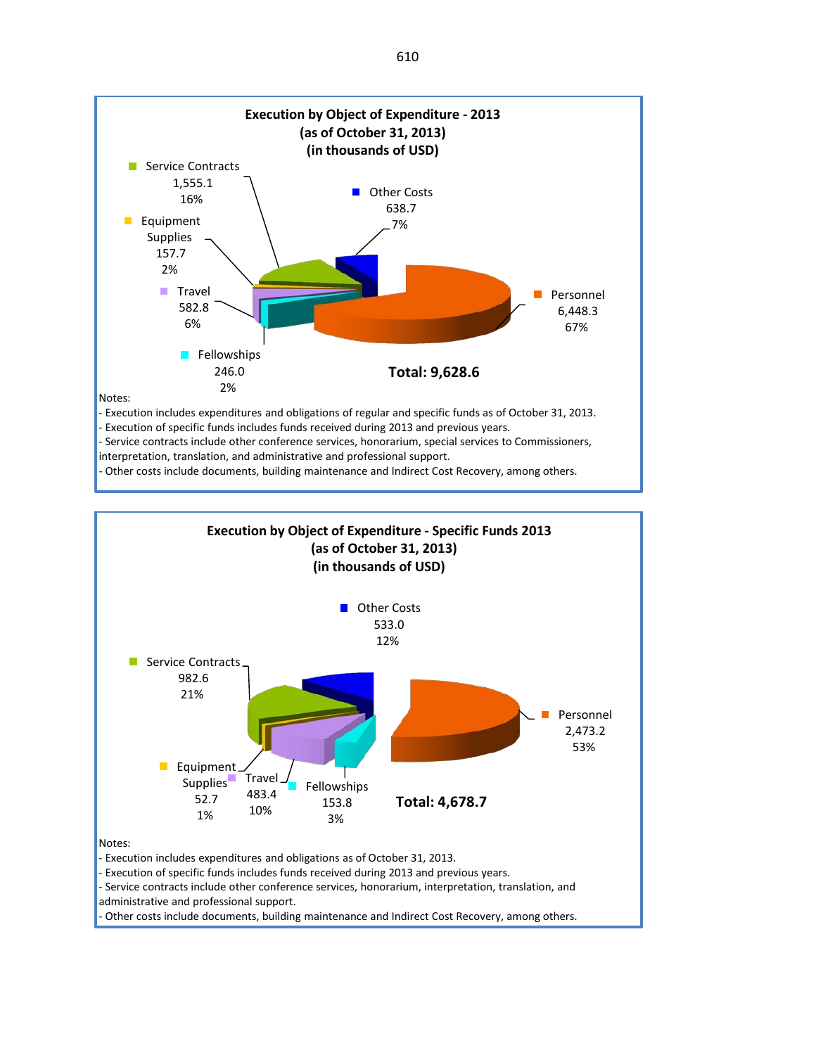

- Other costs include documents, building maintenance and Indirect Cost Recovery, among others.

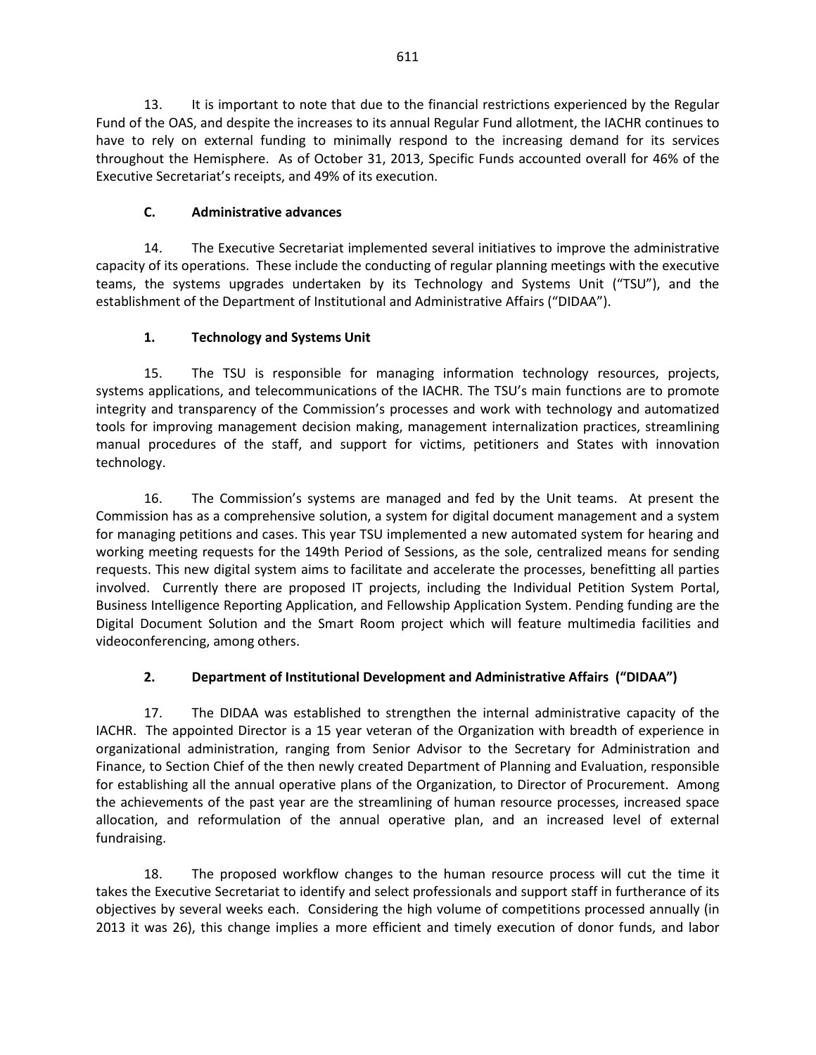13. It is important to note that due to the financial restrictions experienced by the Regular Fund of the OAS, and despite the increases to its annual Regular Fund allotment, the IACHR continues to have to rely on external funding to minimally respond to the increasing demand for its services throughout the Hemisphere. As of October 31, 2013, Specific Funds accounted overall for 46% of the Executive Secretariat's receipts, and 49% of its execution.

## **C. Administrative advances**

14. The Executive Secretariat implemented several initiatives to improve the administrative capacity of its operations. These include the conducting of regular planning meetings with the executive teams, the systems upgrades undertaken by its Technology and Systems Unit ("TSU"), and the establishment of the Department of Institutional and Administrative Affairs ("DIDAA").

## **1. Technology and Systems Unit**

15. The TSU is responsible for managing information technology resources, projects, systems applications, and telecommunications of the IACHR. The TSU's main functions are to promote integrity and transparency of the Commission's processes and work with technology and automatized tools for improving management decision making, management internalization practices, streamlining manual procedures of the staff, and support for victims, petitioners and States with innovation technology.

16. The Commission's systems are managed and fed by the Unit teams. At present the Commission has as a comprehensive solution, a system for digital document management and a system for managing petitions and cases. This year TSU implemented a new automated system for hearing and working meeting requests for the 149th Period of Sessions, as the sole, centralized means for sending requests. This new digital system aims to facilitate and accelerate the processes, benefitting all parties involved. Currently there are proposed IT projects, including the Individual Petition System Portal, Business Intelligence Reporting Application, and Fellowship Application System. Pending funding are the Digital Document Solution and the Smart Room project which will feature multimedia facilities and videoconferencing, among others.

# **2. Department of Institutional Development and Administrative Affairs ("DIDAA")**

17. The DIDAA was established to strengthen the internal administrative capacity of the IACHR. The appointed Director is a 15 year veteran of the Organization with breadth of experience in organizational administration, ranging from Senior Advisor to the Secretary for Administration and Finance, to Section Chief of the then newly created Department of Planning and Evaluation, responsible for establishing all the annual operative plans of the Organization, to Director of Procurement. Among the achievements of the past year are the streamlining of human resource processes, increased space allocation, and reformulation of the annual operative plan, and an increased level of external fundraising.

18. The proposed workflow changes to the human resource process will cut the time it takes the Executive Secretariat to identify and select professionals and support staff in furtherance of its objectives by several weeks each. Considering the high volume of competitions processed annually (in 2013 it was 26), this change implies a more efficient and timely execution of donor funds, and labor